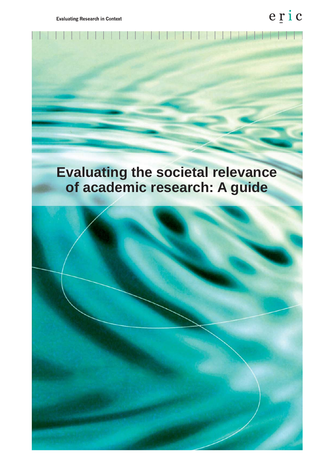## **Evaluating the societal relevance of academic research: A guide**

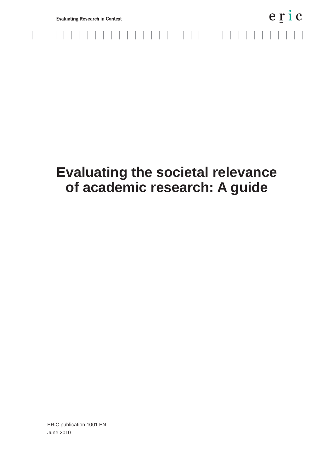# **Evaluating the societal relevance of academic research: A guide**

ERiC publication 1001 EN June 2010

 $\Box$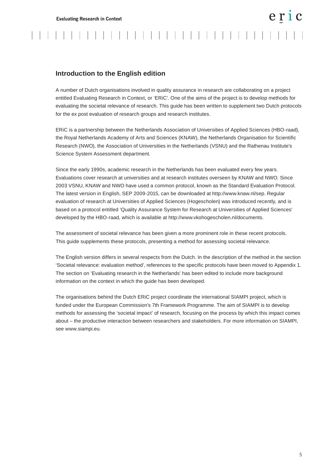## **Introduction to the English edition**

A number of Dutch organisations involved in quality assurance in research are collaborating on a project entitled Evaluating Research in Context, or 'ERiC'. One of the aims of the project is to develop methods for evaluating the societal relevance of research. This guide has been written to supplement two Dutch protocols for the ex post evaluation of research groups and research institutes.

ERiC is a partnership between the Netherlands Association of Universities of Applied Sciences (HBO-raad), the Royal Netherlands Academy of Arts and Sciences (KNAW), the Netherlands Organisation for Scientific Research (NWO), the Association of Universities in the Netherlands (VSNU) and the Rathenau Institute's Science System Assessment department.

Since the early 1990s, academic research in the Netherlands has been evaluated every few years. Evaluations cover research at universities and at research institutes overseen by KNAW and NWO. Since 2003 VSNU, KNAW and NWO have used a common protocol, known as the Standard Evaluation Protocol. The latest version in English, SEP 2009-2015, can be downloaded at http://www.knaw.nl/sep. Regular evaluation of research at Universities of Applied Sciences (Hogescholen) was introduced recently, and is based on a protocol entitled 'Quality Assurance System for Research at Universities of Applied Sciences' developed by the HBO-raad, which is available at http://www.vkohogescholen.nl/documents.

The assessment of societal relevance has been given a more prominent role in these recent protocols. This guide supplements these protocols, presenting a method for assessing societal relevance.

The English version differs in several respects from the Dutch. In the description of the method in the section 'Societal relevance: evaluation method', references to the specific protocols have been moved to Appendix 1. The section on 'Evaluating research in the Netherlands' has been edited to include more background information on the context in which the guide has been developed.

The organisations behind the Dutch ERiC project coordinate the international SIAMPI project, which is funded under the European Commission's 7th Framework Programme. The aim of SIAMPI is to develop methods for assessing the 'societal impact' of research, focusing on the process by which this impact comes about – the productive interaction between researchers and stakeholders. For more information on SIAMPI, see www.siampi.eu.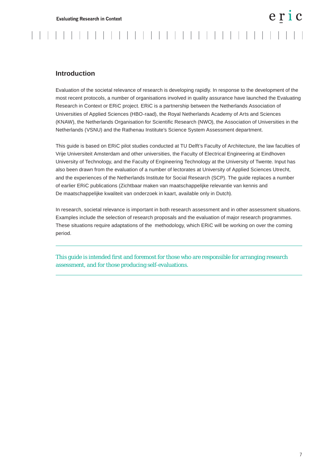## **Introduction**

Evaluation of the societal relevance of research is developing rapidly. In response to the development of the most recent protocols, a number of organisations involved in quality assurance have launched the Evaluating Research in Context or ERiC project. ERiC is a partnership between the Netherlands Association of Universities of Applied Sciences (HBO-raad), the Royal Netherlands Academy of Arts and Sciences (KNAW), the Netherlands Organisation for Scientific Research (NWO), the Association of Universities in the Netherlands (VSNU) and the Rathenau Institute's Science System Assessment department.

This guide is based on ERiC pilot studies conducted at TU Delft's Faculty of Architecture, the law faculties of Vrije Universiteit Amsterdam and other universities, the Faculty of Electrical Engineering at Eindhoven University of Technology, and the Faculty of Engineering Technology at the University of Twente. Input has also been drawn from the evaluation of a number of lectorates at University of Applied Sciences Utrecht, and the experiences of the Netherlands Institute for Social Research (SCP). The guide replaces a number of earlier ERiC publications (Zichtbaar maken van maatschappelijke relevantie van kennis and De maatschappelijke kwaliteit van onderzoek in kaart, available only in Dutch).

In research, societal relevance is important in both research assessment and in other assessment situations. Examples include the selection of research proposals and the evaluation of major research programmes. These situations require adaptations of the methodology, which ERiC will be working on over the coming period.

This guide is intended first and foremost for those who are responsible for arranging research assessment, and for those producing self-evaluations.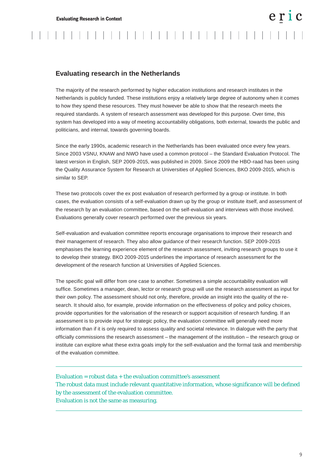## **Evaluating research in the Netherlands**

The majority of the research performed by higher education institutions and research institutes in the Netherlands is publicly funded. These institutions enjoy a relatively large degree of autonomy when it comes to how they spend these resources. They must however be able to show that the research meets the required standards. A system of research assessment was developed for this purpose. Over time, this system has developed into a way of meeting accountability obligations, both external, towards the public and politicians, and internal, towards governing boards.

Since the early 1990s, academic research in the Netherlands has been evaluated once every few years. Since 2003 VSNU, KNAW and NWO have used a common protocol – the Standard Evaluation Protocol. The latest version in English, SEP 2009-2015, was published in 2009. Since 2009 the HBO-raad has been using the Quality Assurance System for Research at Universities of Applied Sciences, BKO 2009-2015, which is similar to SEP.

These two protocols cover the ex post evaluation of research performed by a group or institute. In both cases, the evaluation consists of a self-evaluation drawn up by the group or institute itself, and assessment of the research by an evaluation committee, based on the self-evaluation and interviews with those involved. Evaluations generally cover research performed over the previous six years.

Self-evaluation and evaluation committee reports encourage organisations to improve their research and their management of research. They also allow guidance of their research function. SEP 2009-2015 emphasises the learning experience element of the research assessment, inviting research groups to use it to develop their strategy. BKO 2009-2015 underlines the importance of research assessment for the development of the research function at Universities of Applied Sciences.

The specific goal will differ from one case to another. Sometimes a simple accountability evaluation will suffice. Sometimes a manager, dean, lector or research group will use the research assessment as input for their own policy. The assessment should not only, therefore, provide an insight into the quality of the research. It should also, for example, provide information on the effectiveness of policy and policy choices, provide opportunities for the valorisation of the research or support acquisition of research funding. If an assessment is to provide input for strategic policy, the evaluation committee will generally need more information than if it is only required to assess quality and societal relevance. In dialogue with the party that officially commissions the research assessment – the management of the institution – the research group or institute can explore what these extra goals imply for the self-evaluation and the formal task and membership of the evaluation committee.

 $Evaluation = robust data + the evaluation committee's assessment$ The robust data must include relevant quantitative information, whose significance will be defined by the assessment of the evaluation committee. Evaluation is not the same as measuring.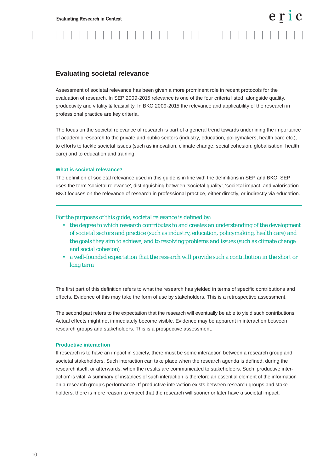eric

## **Evaluating societal relevance**

Assessment of societal relevance has been given a more prominent role in recent protocols for the evaluation of research. In SEP 2009-2015 relevance is one of the four criteria listed, alongside quality, productivity and vitality & feasibility. In BKO 2009-2015 the relevance and applicability of the research in professional practice are key criteria.

The focus on the societal relevance of research is part of a general trend towards underlining the importance of academic research to the private and public sectors (industry, education, policymakers, health care etc.), to efforts to tackle societal issues (such as innovation, climate change, social cohesion, globalisation, health care) and to education and training.

## **What is societal relevance?**

The definition of societal relevance used in this quide is in line with the definitions in SEP and BKO. SEP uses the term 'societal relevance', distinguishing between 'societal quality', 'societal impact' and valorisation. BKO focuses on the relevance of research in professional practice, either directly, or indirectly via education.

For the purposes of this guide, societal relevance is defined by:

- the degree to which research contributes to and creates an understanding of the development of societal sectors and practice (such as industry, education, policymaking, health care) and the goals they aim to achieve, and to resolving problems and issues (such as climate change and social cohesion)
- a well-founded expectation that the research will provide such a contribution in the short or long term

The first part of this definition refers to what the research has yielded in terms of specific contributions and effects. Evidence of this may take the form of use by stakeholders. This is a retrospective assessment.

The second part refers to the expectation that the research will eventually be able to yield such contributions. Actual effects might not immediately become visible. Evidence may be apparent in interaction between research groups and stakeholders. This is a prospective assessment.

#### **Productive interaction**

If research is to have an impact in society, there must be some interaction between a research group and societal stakeholders. Such interaction can take place when the research agenda is defined, during the research itself, or afterwards, when the results are communicated to stakeholders. Such 'productive interaction' is vital. A summary of instances of such interaction is therefore an essential element of the information on a research group's performance. If productive interaction exists between research groups and stakeholders, there is more reason to expect that the research will sooner or later have a societal impact.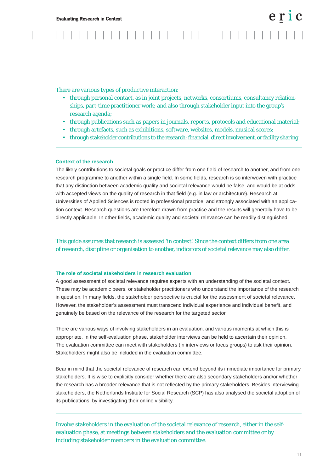There are various types of productive interaction:

- through personal contact, as in joint projects, networks, consortiums, consultancy relationships, part-time practitioner work; and also through stakeholder input into the group's research agenda;
- through publications such as papers in journals, reports, protocols and educational material;
- through artefacts, such as exhibitions, software, websites, models, musical scores;
- through stakeholder contributions to the research: financial, direct involvement, or facility sharing

## **Context of the research**

The likely contributions to societal goals or practice differ from one field of research to another, and from one research programme to another within a single field. In some fields, research is so interwoven with practice that any distinction between academic quality and societal relevance would be false, and would be at odds with accepted views on the quality of research in that field (e.g. in law or architecture). Research at Universities of Applied Sciences is rooted in professional practice, and strongly associated with an application context. Research questions are therefore drawn from practice and the results will generally have to be directly applicable. In other fields, academic quality and societal relevance can be readily distinguished.

This guide assumes that research is assessed 'in context'. Since the context differs from one area of research, discipline or organisation to another, indicators of societal relevance may also differ.

## **The role of societal stakeholders in research evaluation**

A good assessment of societal relevance requires experts with an understanding of the societal context. These may be academic peers, or stakeholder practitioners who understand the importance of the research in question. In many fields, the stakeholder perspective is crucial for the assessment of societal relevance. However, the stakeholder's assessment must transcend individual experience and individual benefit, and genuinely be based on the relevance of the research for the targeted sector.

There are various ways of involving stakeholders in an evaluation, and various moments at which this is appropriate. In the self-evaluation phase, stakeholder interviews can be held to ascertain their opinion. The evaluation committee can meet with stakeholders (in interviews or focus groups) to ask their opinion. Stakeholders might also be included in the evaluation committee.

Bear in mind that the societal relevance of research can extend beyond its immediate importance for primary stakeholders. It is wise to explicitly consider whether there are also secondary stakeholders and/or whether the research has a broader relevance that is not reflected by the primary stakeholders. Besides interviewing stakeholders, the Netherlands Institute for Social Research (SCP) has also analysed the societal adoption of its publications, by investigating their online visibility.

Involve stakeholders in the evaluation of the societal relevance of research, either in the selfevaluation phase, at meetings between stakeholders and the evaluation committee or by including stakeholder members in the evaluation committee.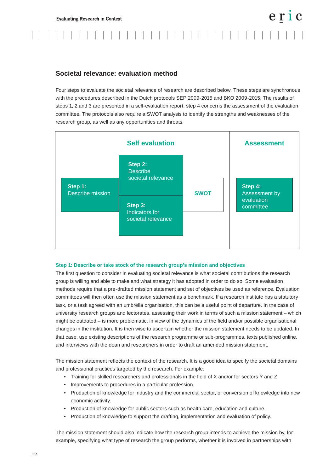eric

## **Societal relevance: evaluation method**

Four steps to evaluate the societal relevance of research are described below, These steps are synchronous with the procedures described in the Dutch protocols SEP 2009-2015 and BKO 2009-2015. The results of steps 1, 2 and 3 are presented in a self-evaluation report; step 4 concerns the assessment of the evaluation committee. The protocols also require a SWOT analysis to identify the strengths and weaknesses of the research group, as well as any opportunities and threats.



#### **Step 1: Describe or take stock of the research group's mission and objectives**

The first question to consider in evaluating societal relevance is what societal contributions the research group is willing and able to make and what strategy it has adopted in order to do so. Some evaluation methods require that a pre-drafted mission statement and set of objectives be used as reference. Evaluation committees will then often use the mission statement as a benchmark. If a research institute has a statutory task, or a task agreed with an umbrella organisation, this can be a useful point of departure. In the case of university research groups and lectorates, assessing their work in terms of such a mission statement – which might be outdated – is more problematic, in view of the dynamics of the field and/or possible organisational changes in the institution. It is then wise to ascertain whether the mission statement needs to be updated. In that case, use existing descriptions of the research programme or sub-programmes, texts published online, and interviews with the dean and researchers in order to draft an amended mission statement.

The mission statement reflects the context of the research. It is a good idea to specify the societal domains and professional practices targeted by the research. For example:

- Training for skilled researchers and professionals in the field of X and/or for sectors Y and Z.
- Improvements to procedures in a particular profession.
- Production of knowledge for industry and the commercial sector, or conversion of knowledge into new economic activity.
- Production of knowledge for public sectors such as health care, education and culture.
- Production of knowledge to support the drafting, implementation and evaluation of policy.

The mission statement should also indicate how the research group intends to achieve the mission by, for example, specifying what type of research the group performs, whether it is involved in partnerships with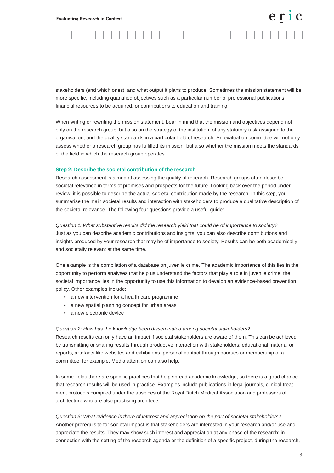eric **Evaluating Research in Context** 

stakeholders (and which ones), and what output it plans to produce. Sometimes the mission statement will be more specific, including quantified objectives such as a particular number of professional publications, financial resources to be acquired, or contributions to education and training.

When writing or rewriting the mission statement, bear in mind that the mission and objectives depend not only on the research group, but also on the strategy of the institution, of any statutory task assigned to the organisation, and the quality standards in a particular field of research. An evaluation committee will not only assess whether a research group has fulfilled its mission, but also whether the mission meets the standards of the field in which the research group operates.

### **Step 2: Describe the societal contribution of the research**

Research assessment is aimed at assessing the quality of research. Research groups often describe societal relevance in terms of promises and prospects for the future. Looking back over the period under review, it is possible to describe the actual societal contribution made by the research. In this step, you summarise the main societal results and interaction with stakeholders to produce a qualitative description of the societal relevance. The following four questions provide a useful guide:

*Question 1: What substantive results did the research yield that could be of importance to society?* Just as you can describe academic contributions and insights, you can also describe contributions and insights produced by your research that may be of importance to society. Results can be both academically and societally relevant at the same time.

One example is the compilation of a database on juvenile crime. The academic importance of this lies in the opportunity to perform analyses that help us understand the factors that play a role in juvenile crime; the societal importance lies in the opportunity to use this information to develop an evidence-based prevention policy. Other examples include:

- a new intervention for a health care programme
- a new spatial planning concept for urban areas
- a new electronic device

#### *Question 2: How has the knowledge been disseminated among societal stakeholders?*

Research results can only have an impact if societal stakeholders are aware of them. This can be achieved by transmitting or sharing results through productive interaction with stakeholders: educational material or reports, artefacts like websites and exhibitions, personal contact through courses or membership of a committee, for example. Media attention can also help.

In some fields there are specific practices that help spread academic knowledge, so there is a good chance that research results will be used in practice. Examples include publications in legal journals, clinical treatment protocols compiled under the auspices of the Royal Dutch Medical Association and professors of architecture who are also practising architects.

*Question 3: What evidence is there of interest and appreciation on the part of societal stakeholders?* Another prerequisite for societal impact is that stakeholders are interested in your research and/or use and appreciate the results. They may show such interest and appreciation at any phase of the research: in connection with the setting of the research agenda or the definition of a specific project, during the research,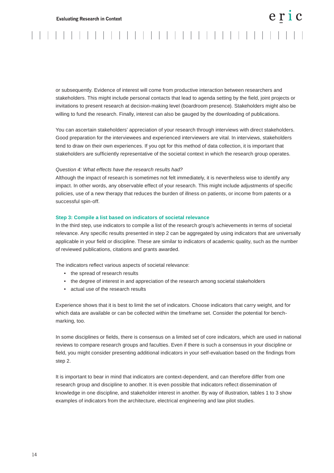or subsequently. Evidence of interest will come from productive interaction between researchers and stakeholders. This might include personal contacts that lead to agenda setting by the field, joint projects or invitations to present research at decision-making level (boardroom presence). Stakeholders might also be willing to fund the research. Finally, interest can also be gauged by the downloading of publications.

You can ascertain stakeholders' appreciation of your research through interviews with direct stakeholders. Good preparation for the interviewees and experienced interviewers are vital. In interviews, stakeholders tend to draw on their own experiences. If you opt for this method of data collection, it is important that stakeholders are sufficiently representative of the societal context in which the research group operates.

### *Question 4: What effects have the research results had?*

Although the impact of research is sometimes not felt immediately, it is nevertheless wise to identify any impact. In other words, any observable effect of your research. This might include adjustments of specific policies, use of a new therapy that reduces the burden of illness on patients, or income from patents or a successful spin-off.

#### **Step 3: Compile a list based on indicators of societal relevance**

In the third step, use indicators to compile a list of the research group's achievements in terms of societal relevance. Any specific results presented in step 2 can be aggregated by using indicators that are universally applicable in your field or discipline. These are similar to indicators of academic quality, such as the number of reviewed publications, citations and grants awarded.

The indicators reflect various aspects of societal relevance:

- the spread of research results
- the degree of interest in and appreciation of the research among societal stakeholders
- actual use of the research results

Experience shows that it is best to limit the set of indicators. Choose indicators that carry weight, and for which data are available or can be collected within the timeframe set. Consider the potential for benchmarking, too.

In some disciplines or fields, there is consensus on a limited set of core indicators, which are used in national reviews to compare research groups and faculties. Even if there is such a consensus in your discipline or field, you might consider presenting additional indicators in your self-evaluation based on the findings from step 2.

It is important to bear in mind that indicators are context-dependent, and can therefore differ from one research group and discipline to another. It is even possible that indicators reflect dissemination of knowledge in one discipline, and stakeholder interest in another. By way of illustration, tables 1 to 3 show examples of indicators from the architecture, electrical engineering and law pilot studies.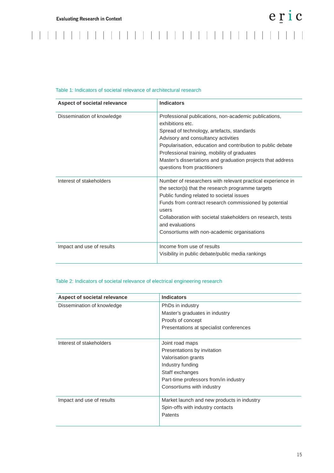## Table 1: Indicators of societal relevance of architectural research

| Aspect of societal relevance | <b>Indicators</b>                                                                                                                                                                                                                                                                                                                                                            |
|------------------------------|------------------------------------------------------------------------------------------------------------------------------------------------------------------------------------------------------------------------------------------------------------------------------------------------------------------------------------------------------------------------------|
| Dissemination of knowledge   | Professional publications, non-academic publications,<br>exhibitions etc.<br>Spread of technology, artefacts, standards<br>Advisory and consultancy activities<br>Popularisation, education and contribution to public debate<br>Professional training, mobility of graduates<br>Master's dissertations and graduation projects that address<br>questions from practitioners |
| Interest of stakeholders     | Number of researchers with relevant practical experience in<br>the sector(s) that the research programme targets<br>Public funding related to societal issues<br>Funds from contract research commissioned by potential<br>users<br>Collaboration with societal stakeholders on research, tests<br>and evaluations<br>Consortiums with non-academic organisations            |
| Impact and use of results    | Income from use of results<br>Visibility in public debate/public media rankings                                                                                                                                                                                                                                                                                              |

## Table 2: Indicators of societal relevance of electrical engineering research

| Aspect of societal relevance | <b>Indicators</b>                          |
|------------------------------|--------------------------------------------|
| Dissemination of knowledge   | PhDs in industry                           |
|                              | Master's graduates in industry             |
|                              | Proofs of concept                          |
|                              | Presentations at specialist conferences    |
| Interest of stakeholders     | Joint road maps                            |
|                              | Presentations by invitation                |
|                              | Valorisation grants                        |
|                              | Industry funding                           |
|                              | Staff exchanges                            |
|                              | Part-time professors from/in industry      |
|                              | Consortiums with industry                  |
| Impact and use of results    | Market launch and new products in industry |
|                              | Spin-offs with industry contacts           |
|                              | Patents                                    |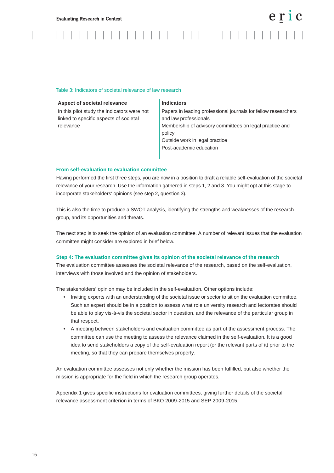#### Table 3: Indicators of societal relevance of law research

| Aspect of societal relevance                                                                       | <b>Indicators</b>                                                                                                                                                                                                         |
|----------------------------------------------------------------------------------------------------|---------------------------------------------------------------------------------------------------------------------------------------------------------------------------------------------------------------------------|
| In this pilot study the indicators were not<br>linked to specific aspects of societal<br>relevance | Papers in leading professional journals for fellow researchers<br>and law professionals<br>Membership of advisory committees on legal practice and<br>policy<br>Outside work in legal practice<br>Post-academic education |

## **From self-evaluation to evaluation committee**

Having performed the first three steps, you are now in a position to draft a reliable self-evaluation of the societal relevance of your research. Use the information gathered in steps 1, 2 and 3. You might opt at this stage to incorporate stakeholders' opinions (see step 2, question 3).

This is also the time to produce a SWOT analysis, identifying the strengths and weaknesses of the research group, and its opportunities and threats.

The next step is to seek the opinion of an evaluation committee. A number of relevant issues that the evaluation committee might consider are explored in brief below.

#### **Step 4: The evaluation committee gives its opinion of the societal relevance of the research**

The evaluation committee assesses the societal relevance of the research, based on the self-evaluation, interviews with those involved and the opinion of stakeholders.

The stakeholders' opinion may be included in the self-evaluation. Other options include:

- Inviting experts with an understanding of the societal issue or sector to sit on the evaluation committee. Such an expert should be in a position to assess what role university research and lectorates should be able to play vis-à-vis the societal sector in question, and the relevance of the particular group in that respect.
- A meeting between stakeholders and evaluation committee as part of the assessment process. The committee can use the meeting to assess the relevance claimed in the self-evaluation. It is a good idea to send stakeholders a copy of the self-evaluation report (or the relevant parts of it) prior to the meeting, so that they can prepare themselves properly.

An evaluation committee assesses not only whether the mission has been fulfilled, but also whether the mission is appropriate for the field in which the research group operates.

Appendix 1 gives specific instructions for evaluation committees, giving further details of the societal relevance assessment criterion in terms of BKO 2009-2015 and SEP 2009-2015.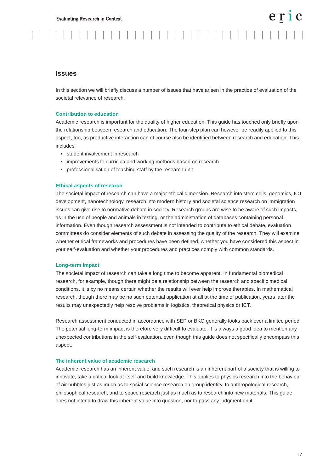## **Issues**

In this section we will briefly discuss a number of issues that have arisen in the practice of evaluation of the societal relevance of research.

### **Contribution to education**

Academic research is important for the quality of higher education. This guide has touched only briefly upon the relationship between research and education. The four-step plan can however be readily applied to this aspect, too, as productive interaction can of course also be identified between research and education. This includes:

- student involvement in research
- improvements to curricula and working methods based on research
- professionalisation of teaching staff by the research unit

#### **Ethical aspects of research**

The societal impact of research can have a major ethical dimension. Research into stem cells, genomics, ICT development, nanotechnology, research into modern history and societal science research on immigration issues can give rise to normative debate in society. Research groups are wise to be aware of such impacts, as in the use of people and animals in testing, or the administration of databases containing personal information. Even though research assessment is not intended to contribute to ethical debate, evaluation committees do consider elements of such debate in assessing the quality of the research. They will examine whether ethical frameworks and procedures have been defined, whether you have considered this aspect in your self-evaluation and whether your procedures and practices comply with common standards.

#### **Long-term impact**

The societal impact of research can take a long time to become apparent. In fundamental biomedical research, for example, though there might be a relationship between the research and specific medical conditions, it is by no means certain whether the results will ever help improve therapies. In mathematical research, though there may be no such potential application at all at the time of publication, years later the results may unexpectedly help resolve problems in logistics, theoretical physics or ICT.

Research assessment conducted in accordance with SEP or BKO generally looks back over a limited period. The potential long-term impact is therefore very difficult to evaluate. It is always a good idea to mention any unexpected contributions in the self-evaluation, even though this guide does not specifically encompass this aspect.

#### **The inherent value of academic research**

Academic research has an inherent value, and such research is an inherent part of a society that is willing to innovate, take a critical look at itself and build knowledge. This applies to physics research into the behaviour of air bubbles just as much as to social science research on group identity, to anthropological research, philosophical research, and to space research just as much as to research into new materials. This guide does not intend to draw this inherent value into question, nor to pass any judgment on it.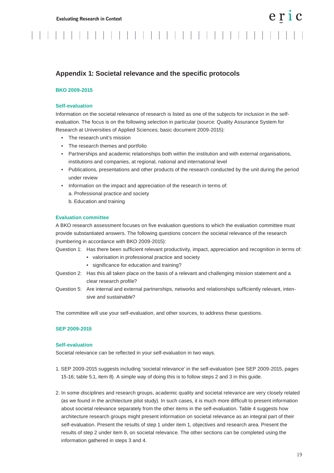## Appendix 1: Societal relevance and the specific protocols

## **BKO 2009-2015**

#### **Self-evaluation**

Information on the societal relevance of research is listed as one of the subjects for inclusion in the selfevaluation. The focus is on the following selection in particular (source: Quality Assurance System for Research at Universities of Applied Sciences; basic document 2009-2015):

- The research unit's mission
- The research themes and portfolio
- Partnerships and academic relationships both within the institution and with external organisations, institutions and companies, at regional, national and international level
- Publications, presentations and other products of the research conducted by the unit during the period under review
- Information on the impact and appreciation of the research in terms of:
	- a. Professional practice and society
	- b. Education and training

## **Evaluation committee**

A BKO research assessment focuses on five evaluation questions to which the evaluation committee must provide substantiated answers. The following questions concern the societal relevance of the research (numbering in accordance with BKO 2009-2015):

Question 1: Has there been sufficient relevant productivity, impact, appreciation and recognition in terms of:

- valorisation in professional practice and society
- significance for education and training?
- Question 2: Has this all taken place on the basis of a relevant and challenging mission statement and a clear research profile?
- Question 5: Are internal and external partnerships, networks and relationships sufficiently relevant, intensive and sustainable?

The committee will use your self-evaluation, and other sources, to address these questions.

## **SEP 2009-2015**

#### **Self-evaluation**

Societal relevance can be reflected in your self-evaluation in two ways.

- 1. SEP 2009-2015 suggests including 'societal relevance' in the self-evaluation (see SEP 2009-2015, pages 15-16; table 5.1, item 8). A simple way of doing this is to follow steps 2 and 3 in this guide.
- 2. In some disciplines and research groups, academic quality and societal relevance are very closely related (as we found in the architecture pilot study). In such cases, it is much more difficult to present information about societal relevance separately from the other items in the self-evaluation. Table 4 suggests how architecture research groups might present information on societal relevance as an integral part of their self-evaluation. Present the results of step 1 under item 1, objectives and research area. Present the results of step 2 under item 8, on societal relevance. The other sections can be completed using the information gathered in steps 3 and 4.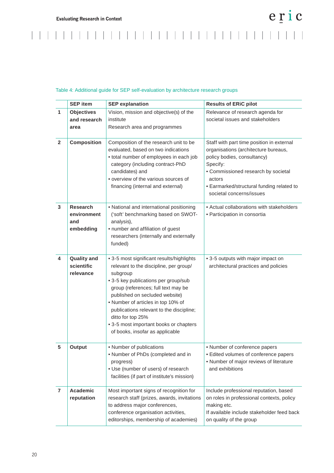## Table 4: Additional guide for SEP self-evaluation by architecture research groups

|                | <b>SEP item</b>                                    | <b>SEP explanation</b>                                                                                                                                                                                                                                                                                                                                                                               | <b>Results of ERIC pilot</b>                                                                                                                                                                                                                           |  |
|----------------|----------------------------------------------------|------------------------------------------------------------------------------------------------------------------------------------------------------------------------------------------------------------------------------------------------------------------------------------------------------------------------------------------------------------------------------------------------------|--------------------------------------------------------------------------------------------------------------------------------------------------------------------------------------------------------------------------------------------------------|--|
| 1              | <b>Objectives</b><br>and research<br>area          | Vision, mission and objective(s) of the<br>institute<br>Research area and programmes                                                                                                                                                                                                                                                                                                                 | Relevance of research agenda for<br>societal issues and stakeholders                                                                                                                                                                                   |  |
| $\overline{2}$ | <b>Composition</b>                                 | Composition of the research unit to be<br>evaluated, based on two indications<br>• total number of employees in each job<br>category (including contract-PhD<br>candidates) and<br>• overview of the various sources of<br>financing (internal and external)                                                                                                                                         | Staff with part time position in external<br>organisations (architecture bureaus,<br>policy bodies, consultancy)<br>Specify:<br>• Commissioned research by societal<br>actors<br>• Earmarked/structural funding related to<br>societal concerns/issues |  |
| 3              | <b>Research</b><br>environment<br>and<br>embedding | • National and international positioning<br>('soft' benchmarking based on SWOT-<br>analysis),<br>• number and affiliation of guest<br>researchers (internally and externally<br>funded)                                                                                                                                                                                                              | • Actual collaborations with stakeholders<br>· Participation in consortia                                                                                                                                                                              |  |
| 4              | <b>Quality and</b><br>scientific<br>relevance      | • 3-5 most significant results/highlights<br>relevant to the discipline, per group/<br>subgroup<br>• 3-5 key publications per group/sub<br>group (references; full text may be<br>published on secluded website)<br>. Number of articles in top 10% of<br>publications relevant to the discipline;<br>ditto for top 25%<br>• 3-5 most important books or chapters<br>of books, insofar as applicable | • 3-5 outputs with major impact on<br>architectural practices and policies                                                                                                                                                                             |  |
| 5              | Output                                             | • Number of publications<br>• Number of PhDs (completed and in<br>progress)<br>• Use (number of users) of research<br>facilities (if part of institute's mission)                                                                                                                                                                                                                                    | • Number of conference papers<br>• Edited volumes of conference papers<br>• Number of major reviews of literature<br>and exhibitions                                                                                                                   |  |
| 7              | Academic<br>reputation                             | Most important signs of recognition for<br>research staff (prizes, awards, invitations<br>to address major conferences,<br>conference organisation activities,<br>editorships, membership of academies)                                                                                                                                                                                              | Include professional reputation, based<br>on roles in professional contexts, policy<br>making etc.<br>If available include stakeholder feed back<br>on quality of the group                                                                            |  |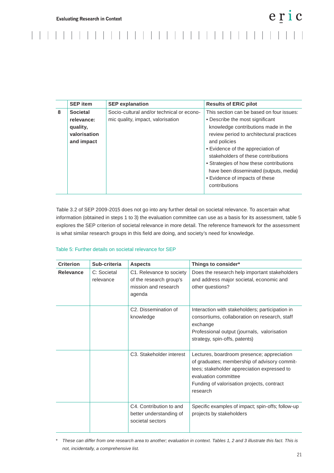|   | <b>SEP item</b>                                                         | <b>SEP</b> explanation                                                         | <b>Results of ERIC pilot</b>                                                                                                                                                                                                                                                                                                                                                                         |
|---|-------------------------------------------------------------------------|--------------------------------------------------------------------------------|------------------------------------------------------------------------------------------------------------------------------------------------------------------------------------------------------------------------------------------------------------------------------------------------------------------------------------------------------------------------------------------------------|
| 8 | <b>Societal</b><br>relevance:<br>quality,<br>valorisation<br>and impact | Socio-cultural and/or technical or econo-<br>mic quality, impact, valorisation | This section can be based on four issues:<br>• Describe the most significant<br>knowledge contributions made in the<br>review period to architectural practices<br>and policies<br>• Evidence of the appreciation of<br>stakeholders of these contributions<br>• Strategies of how these contributions<br>have been disseminated (outputs, media)<br>• Evidence of impacts of these<br>contributions |

Table 3.2 of SEP 2009-2015 does not go into any further detail on societal relevance. To ascertain what information (obtained in steps 1 to 3) the evaluation committee can use as a basis for its assessment, table 5 explores the SEP criterion of societal relevance in more detail. The reference framework for the assessment is what similar research groups in this field are doing, and society's need for knowledge.

## Table 5: Further details on societal relevance for SEP

| <b>Criterion</b> | Sub-criteria             | <b>Aspects</b>                                                                        | Things to consider*                                                                                                                                                                                                         |
|------------------|--------------------------|---------------------------------------------------------------------------------------|-----------------------------------------------------------------------------------------------------------------------------------------------------------------------------------------------------------------------------|
| Relevance        | C: Societal<br>relevance | C1. Relevance to society<br>of the research group's<br>mission and research<br>agenda | Does the research help important stakeholders<br>and address major societal, economic and<br>other questions?                                                                                                               |
|                  |                          | C <sub>2</sub> . Dissemination of<br>knowledge                                        | Interaction with stakeholders; participation in<br>consortiums, collaboration on research, staff<br>exchange<br>Professional output (journals, valorisation<br>strategy, spin-offs, patents)                                |
|                  |                          | C <sub>3</sub> . Stakeholder interest                                                 | Lectures, boardroom presence; appreciation<br>of graduates; membership of advisory commit-<br>tees; stakeholder appreciation expressed to<br>evaluation committee<br>Funding of valorisation projects, contract<br>research |
|                  |                          | C4. Contribution to and<br>better understanding of<br>societal sectors                | Specific examples of impact; spin-offs; follow-up<br>projects by stakeholders                                                                                                                                               |

*\* These can differ from one research area to another; evaluation in context. Tables 1, 2 and 3 illustrate this fact. This is not, incidentally, a comprehensive list.*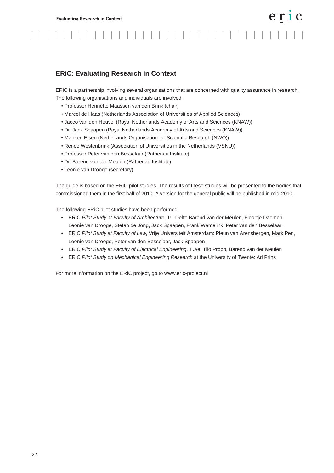eric

## **ERiC: Evaluating Research in Context**

ERiC is a partnership involving several organisations that are concerned with quality assurance in research. The following organisations and individuals are involved:

- Professor Henriëtte Maassen van den Brink (chair)
- Marcel de Haas (Netherlands Association of Universities of Applied Sciences)
- Jacco van den Heuvel (Royal Netherlands Academy of Arts and Sciences (KNAW))
- Dr. Jack Spaapen (Royal Netherlands Academy of Arts and Sciences (KNAW))
- Mariken Elsen (Netherlands Organisation for Scientific Research (NWO))
- Renee Westenbrink (Association of Universities in the Netherlands (VSNU))
- Professor Peter van den Besselaar (Rathenau Institute)
- Dr. Barend van der Meulen (Rathenau Institute)
- Leonie van Drooge (secretary)

The guide is based on the ERiC pilot studies. The results of these studies will be presented to the bodies that commissioned them in the first half of 2010. A version for the general public will be published in mid-2010.

The following ERiC pilot studies have been performed:

- ERiC *Pilot Study at Faculty of Architecture*, TU Delft: Barend van der Meulen, Floortje Daemen, Leonie van Drooge, Stefan de Jong, Jack Spaapen, Frank Wamelink, Peter van den Besselaar.
- ERiC *Pilot Study at Faculty of Law*, Vrije Universiteit Amsterdam: Pleun van Arensbergen, Mark Pen, Leonie van Drooge, Peter van den Besselaar, Jack Spaapen
- ERiC *Pilot Study at Faculty of Electrical Engineering*, TU/e: Tilo Propp, Barend van der Meulen
- ERiC *Pilot Study on Mechanical Engineering Research* at the University of Twente: Ad Prins

For more information on the ERiC project, go to www.eric-project.nl